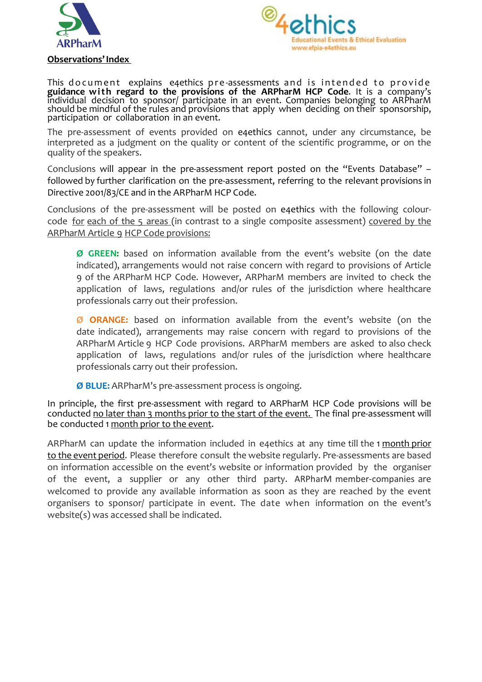



This document explains e4ethics pre-assessments and is intended to provide **guidance with regard to the provisions of the ARPharM HCP Code.** It is a company's<br>individual decision to sponsor/ participate in an event. Companies belonging to ARPharM should be mindful of the rules and provisions that apply when deciding on their sponsorship,<br>participation or collaboration in an event.

The pre-assessment of events provided on e4ethics cannot, under any circumstance, be interpreted as a judgment on the quality or content of the scientific programme, or on the quality of the speakers.

Conclusions will appear in the pre-assessment report posted on the "Events Database" – followed by further clarification on the pre-assessment, referring to the relevant provisions in Directive 2001/83/CE and in the ARPharM HCP Code.

Conclusions of the pre-assessment will be posted on e4ethics with the following colourcode for each of the 5 areas (in contrast to a single composite assessment) covered by the ARPharM Article 9 HCP Code provisions:

**Ø GREEN:** based on information available from the event's website (on the date indicated), arrangements would not raise concern with regard to provisions of Article 9 of the ARPharM HCP Code. However, ARPharM members are invited to check the application of laws, regulations and/or rules of the jurisdiction where healthcare professionals carry out their profession.

**Ø ORANGE:** based on information available from the event's website (on the date indicated), arrangements may raise concern with regard to provisions of the ARPharM Article 9 HCP Code provisions. ARPharM members are asked to also check application of laws, regulations and/or rules of the jurisdiction where healthcare professionals carry out their profession.

**Ø BLUE:** ARPharM's pre-assessment process is ongoing.

In principle, the first pre-assessment with regard to ARPharM HCP Code provisions will be conducted no later than 3 months prior to the start of the event. The final pre-assessment will be conducted 1 month prior to the event.

ARPharM can update the information included in e4ethics at any time till the 1 month prior to the event period. Please therefore consult the website regularly. Pre-assessments are based on information accessible on the event's website or information provided by the organiser of the event, a supplier or any other third party. ARPharM member-companies are welcomed to provide any available information as soon as they are reached by the event organisers to sponsor/ participate in event. The date when information on the event's website(s) was accessed shall be indicated.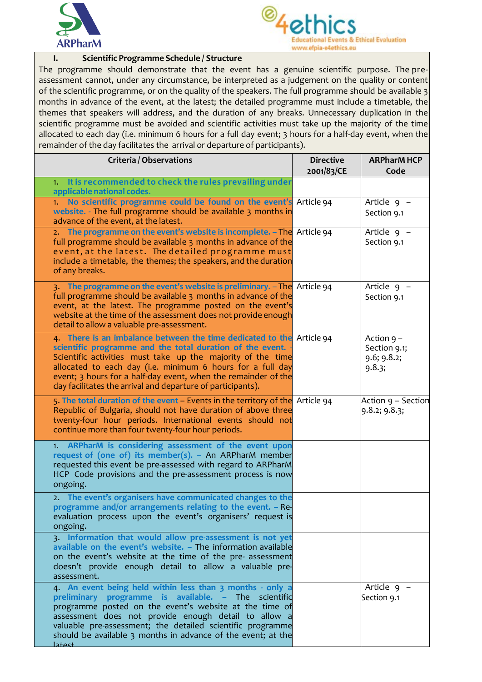

l



## **I. Scientific Programme Schedule / Structure**

The programme should demonstrate that the event has a genuine scientific purpose. The preassessment cannot, under any circumstance, be interpreted as a judgement on the quality or content of the scientific programme, or on the quality of the speakers. The full programme should be available 3 months in advance of the event, at the latest; the detailed programme must include a timetable, the themes that speakers will address, and the duration of any breaks. Unnecessary duplication in the scientific programme must be avoided and scientific activities must take up the majority of the time allocated to each day (i.e. minimum 6 hours for a full day event; 3 hours for a half-day event, when the remainder of the day facilitates the arrival or departure of participants).

| Criteria / Observations                                                                                                                                                                                                                                                                                                                                                                          | <b>Directive</b><br>2001/83/CE | <b>ARPharMHCP</b><br>Code                             |
|--------------------------------------------------------------------------------------------------------------------------------------------------------------------------------------------------------------------------------------------------------------------------------------------------------------------------------------------------------------------------------------------------|--------------------------------|-------------------------------------------------------|
| 1 It is recommended to check the rules prevailing under<br>applicable national codes.                                                                                                                                                                                                                                                                                                            |                                |                                                       |
| No scientific programme could be found on the event's Article 94<br>1.<br>website. - The full programme should be available 3 months in<br>advance of the event, at the latest.                                                                                                                                                                                                                  |                                | Article 9 -<br>Section 9.1                            |
| 2. The programme on the event's website is incomplete. - The Article 94<br>full programme should be available 3 months in advance of the<br>event, at the latest. The detailed programme must<br>include a timetable, the themes; the speakers, and the duration<br>of any breaks.                                                                                                               |                                | Article 9 -<br>Section 9.1                            |
| 3. The programme on the event's website is preliminary. - The Article 94<br>full programme should be available 3 months in advance of the<br>event, at the latest. The programme posted on the event's<br>website at the time of the assessment does not provide enough<br>detail to allow a valuable pre-assessment.                                                                            |                                | Article 9 -<br>Section 9.1                            |
| 4. There is an imbalance between the time dedicated to the Article 94<br>scientific programme and the total duration of the event.<br>Scientific activities must take up the majority of the time<br>allocated to each day (i.e. minimum 6 hours for a full day<br>event; 3 hours for a half-day event, when the remainder of the<br>day facilitates the arrival and departure of participants). |                                | Action $9 -$<br>Section 9.1;<br>9.6; 9.8.2;<br>9.8.3; |
| 5. The total duration of the event – Events in the territory of the Article 94<br>Republic of Bulgaria, should not have duration of above three<br>twenty-four hour periods. International events should not<br>continue more than four twenty-four hour periods.                                                                                                                                |                                | Action 9 – Section<br>9.8.2; 9.8.3;                   |
| 1. ARPharM is considering assessment of the event upon<br>request of (one of) its member(s). - An ARPharM member<br>requested this event be pre-assessed with regard to ARPharM<br>HCP Code provisions and the pre-assessment process is now<br>ongoing.                                                                                                                                         |                                |                                                       |
| 2. The event's organisers have communicated changes to the<br>programme and/or arrangements relating to the event. - Re-<br>evaluation process upon the event's organisers' request is<br>ongoing.                                                                                                                                                                                               |                                |                                                       |
| 3. Information that would allow pre-assessment is not yet<br>available on the event's website. - The information available<br>on the event's website at the time of the pre- assessment<br>doesn't provide enough detail to allow a valuable pre-<br>assessment.                                                                                                                                 |                                |                                                       |
| 4. An event being held within less than 3 months - only a<br>preliminary programme is available. - The scientific<br>programme posted on the event's website at the time of<br>assessment does not provide enough detail to allow a<br>valuable pre-assessment; the detailed scientific programme<br>should be available 3 months in advance of the event; at the<br>$l$ atest                   |                                | Article 9 -<br>Section 9.1                            |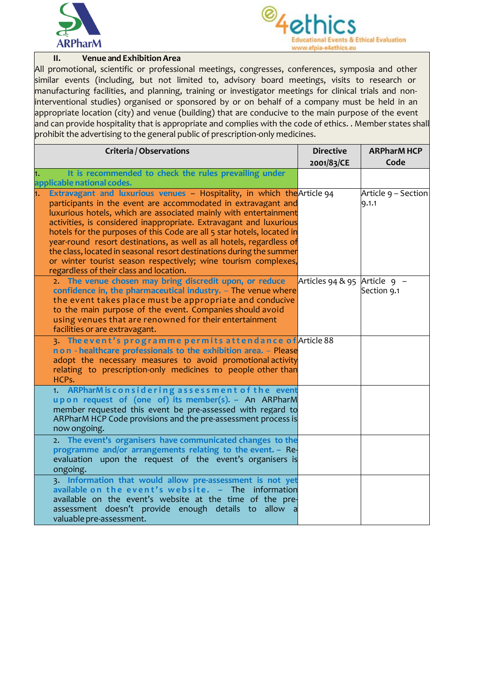



## l **II. Venue and ExhibitionArea**

All promotional, scientific or professional meetings, congresses, conferences, symposia and other similar events (including, but not limited to, advisory board meetings, visits to research or manufacturing facilities, and planning, training or investigator meetings for clinical trials and noninterventional studies) organised or sponsored by or on behalf of a company must be held in an appropriate location (city) and venue (building) that are conducive to the main purpose of the event and can provide hospitality that is appropriate and complies with the code of ethics. . Member states shall prohibit the advertising to the general public of prescription-only medicines.

|    | Criteria / Observations                                                                                                                                                                                                                                                                                                                                                                                                                                                                                                                                                                                                   | <b>Directive</b>             | <b>ARPharMHCP</b>            |
|----|---------------------------------------------------------------------------------------------------------------------------------------------------------------------------------------------------------------------------------------------------------------------------------------------------------------------------------------------------------------------------------------------------------------------------------------------------------------------------------------------------------------------------------------------------------------------------------------------------------------------------|------------------------------|------------------------------|
|    |                                                                                                                                                                                                                                                                                                                                                                                                                                                                                                                                                                                                                           | 2001/83/CE                   | Code                         |
|    | It is recommended to check the rules prevailing under<br>applicable national codes.                                                                                                                                                                                                                                                                                                                                                                                                                                                                                                                                       |                              |                              |
| 1. | Extravagant and luxurious venues - Hospitality, in which the Article 94<br>participants in the event are accommodated in extravagant and<br>luxurious hotels, which are associated mainly with entertainment<br>activities, is considered inappropriate. Extravagant and luxurious<br>hotels for the purposes of this Code are all 5 star hotels, located in<br>year-round resort destinations, as well as all hotels, regardless of<br>the class, located in seasonal resort destinations during the summer<br>or winter tourist season respectively; wine tourism complexes,<br>regardless of their class and location. |                              | Article 9 – Section<br>9.1.1 |
|    | 2. The venue chosen may bring discredit upon, or reduce<br>confidence in, the pharmaceutical industry. - The venue where<br>the event takes place must be appropriate and conducive<br>to the main purpose of the event. Companies should avoid<br>using venues that are renowned for their entertainment<br>facilities or are extravagant.                                                                                                                                                                                                                                                                               | Articles 94 & 95 Article 9 - | Section 9.1                  |
|    | 3. The event's programme permits attendance of Article 88<br>non - healthcare professionals to the exhibition area. - Please<br>adopt the necessary measures to avoid promotional activity<br>relating to prescription-only medicines to people other than<br>HCP <sub>S</sub> .                                                                                                                                                                                                                                                                                                                                          |                              |                              |
|    | 1. ARPharM is considering assessment of the event<br>upon request of (one of) its member(s). - An ARPharM<br>member requested this event be pre-assessed with regard to<br>ARPharM HCP Code provisions and the pre-assessment process is<br>now ongoing.                                                                                                                                                                                                                                                                                                                                                                  |                              |                              |
|    | 2. The event's organisers have communicated changes to the<br>programme and/or arrangements relating to the event. - Re-<br>evaluation upon the request of the event's organisers is<br>ongoing.                                                                                                                                                                                                                                                                                                                                                                                                                          |                              |                              |
|    | 3. Information that would allow pre-assessment is not yet<br>available on the event's website. - The information<br>available on the event's website at the time of the pre-<br>assessment doesn't provide enough details to allow a<br>valuable pre-assessment.                                                                                                                                                                                                                                                                                                                                                          |                              |                              |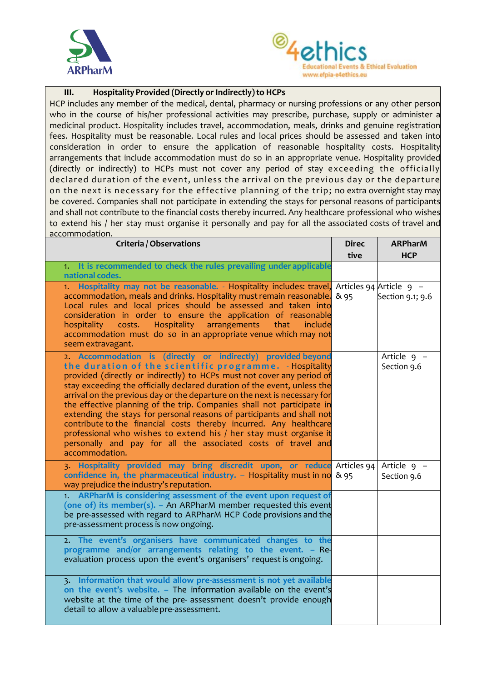



**III.** Hospitality Provided (Directly or Indirectly) to HCPs

HCP includes any member of the medical, dental, pharmacy or nursing professions or any other person who in the course of his/her professional activities may prescribe, purchase, supply or administer a medicinal product. Hospitality includes travel, accommodation, meals, drinks and genuine registration fees. Hospitality must be reasonable. Local rules and local prices should be assessed and taken into consideration in order to ensure the application of reasonable hospitality costs. Hospitality arrangements that include accommodation must do so in an appropriate venue. Hospitality provided (directly or indirectly) to HCPs must not cover any period of stay exceeding the officially declared duration of the event, unless the arrival on the previous day or the departure on the next is necessary for the effective planning of the trip; no extra overnight stay may be covered. Companies shall not participate in extending the stays for personal reasons of participants and shall not contribute to the financial costs thereby incurred. Any healthcare professional who wishes to extend his / her stay must organise it personally and pay for all the associated costs of travel and accommodation.

| Criteria / Observations                                                                                                                                                                                                                                                                                                                                                                                                                                                                                                                                                                                                                                                                                                                      | <b>Direc</b><br>tive | <b>ARPharM</b><br><b>HCP</b> |
|----------------------------------------------------------------------------------------------------------------------------------------------------------------------------------------------------------------------------------------------------------------------------------------------------------------------------------------------------------------------------------------------------------------------------------------------------------------------------------------------------------------------------------------------------------------------------------------------------------------------------------------------------------------------------------------------------------------------------------------------|----------------------|------------------------------|
| 1. It is recommended to check the rules prevailing under applicable<br>national codes.                                                                                                                                                                                                                                                                                                                                                                                                                                                                                                                                                                                                                                                       |                      |                              |
| 1. Hospitality may not be reasonable. - Hospitality includes: travel, Articles 94 Article 9 -<br>accommodation, meals and drinks. Hospitality must remain reasonable.<br>Local rules and local prices should be assessed and taken into<br>consideration in order to ensure the application of reasonable<br>arrangements<br>hospitality<br>Hospitality<br>costs.<br>that<br>include<br>accommodation must do so in an appropriate venue which may not<br>seem extravagant.                                                                                                                                                                                                                                                                  | & 95                 | Section 9.1; 9.6             |
| 2. Accommodation is (directly or indirectly) provided beyond<br>the duration of the scientific programme. - Hospitality<br>provided (directly or indirectly) to HCPs must not cover any period of<br>stay exceeding the officially declared duration of the event, unless the<br>arrival on the previous day or the departure on the next is necessary for<br>the effective planning of the trip. Companies shall not participate in<br>extending the stays for personal reasons of participants and shall not<br>contribute to the financial costs thereby incurred. Any healthcare<br>professional who wishes to extend his / her stay must organise it<br>personally and pay for all the associated costs of travel and<br>accommodation. |                      | Article 9 -<br>Section 9.6   |
| 3. Hospitality provided may bring discredit upon, or reduce Articles 94<br>confidence in, the pharmaceutical industry. - Hospitality must in no $\alpha$ 95<br>way prejudice the industry's reputation.                                                                                                                                                                                                                                                                                                                                                                                                                                                                                                                                      |                      | Article 9<br>Section 9.6     |
| 1. ARPharM is considering assessment of the event upon request of<br>(one of) its member(s). - An ARPharM member requested this event<br>be pre-assessed with regard to ARPharM HCP Code provisions and the<br>pre-assessment process is now ongoing.                                                                                                                                                                                                                                                                                                                                                                                                                                                                                        |                      |                              |
| 2. The event's organisers have communicated changes to the<br>programme and/or arrangements relating to the event. - Re-<br>evaluation process upon the event's organisers' request is ongoing.                                                                                                                                                                                                                                                                                                                                                                                                                                                                                                                                              |                      |                              |
| 3. Information that would allow pre-assessment is not yet available<br>on the event's website. - The information available on the event's<br>website at the time of the pre- assessment doesn't provide enough<br>detail to allow a valuable pre-assessment.                                                                                                                                                                                                                                                                                                                                                                                                                                                                                 |                      |                              |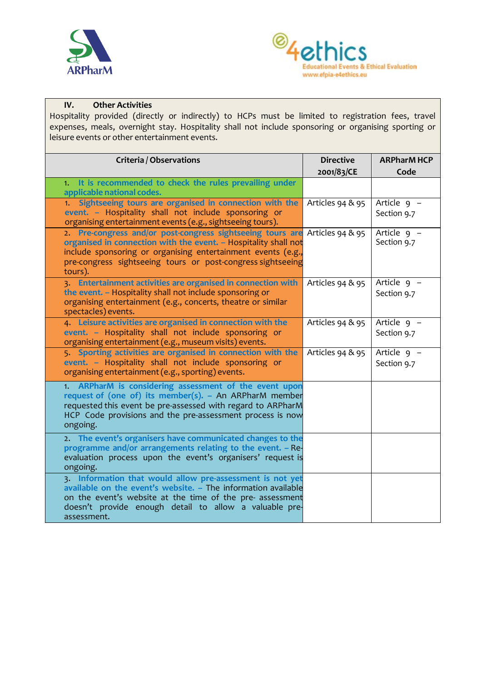



## **IV. Other Activities**

Hospitality provided (directly or indirectly) to HCPs must be limited to registration fees, travel expenses, meals, overnight stay. Hospitality shall not include sponsoring or organising sporting or leisure events or other entertainment events.

| Criteria / Observations                                                                                                                                                                                                                                                 | <b>Directive</b><br>2001/83/CE | <b>ARPharMHCP</b><br>Code    |
|-------------------------------------------------------------------------------------------------------------------------------------------------------------------------------------------------------------------------------------------------------------------------|--------------------------------|------------------------------|
| 1. It is recommended to check the rules prevailing under<br>applicable national codes.                                                                                                                                                                                  |                                |                              |
| 1. Sightseeing tours are organised in connection with the<br>event. - Hospitality shall not include sponsoring or<br>organising entertainment events (e.g., sightseeing tours).                                                                                         | Articles 94 & 95               | Article 9 -<br>Section 9.7   |
| 2. Pre-congress and/or post-congress sightseeing tours are<br>organised in connection with the event. - Hospitality shall not<br>include sponsoring or organising entertainment events (e.g.,<br>pre-congress sightseeing tours or post-congress sightseeing<br>tours). | Articles 94 & 95               | Article 9 -<br>Section 9.7   |
| 3. Entertainment activities are organised in connection with<br>the event. - Hospitality shall not include sponsoring or<br>organising entertainment (e.g., concerts, theatre or similar<br>spectacles) events.                                                         | Articles 94 & 95               | Article 9 -<br>Section 9.7   |
| 4. Leisure activities are organised in connection with the<br>event. - Hospitality shall not include sponsoring or<br>organising entertainment (e.g., museum visits) events.                                                                                            | Articles 94 & 95               | Article 9 -<br>Section 9.7   |
| 5. Sporting activities are organised in connection with the<br>event. - Hospitality shall not include sponsoring or<br>organising entertainment (e.g., sporting) events.                                                                                                | Articles 94 & 95               | Article $9 -$<br>Section 9.7 |
| 1. ARPharM is considering assessment of the event upon<br>request of (one of) its member(s). - An ARPharM member<br>requested this event be pre-assessed with regard to ARPharM<br>HCP Code provisions and the pre-assessment process is now<br>ongoing.                |                                |                              |
| 2. The event's organisers have communicated changes to the<br>programme and/or arrangements relating to the event. - Re-<br>evaluation process upon the event's organisers' request is<br>ongoing.                                                                      |                                |                              |
| 3. Information that would allow pre-assessment is not yet<br>available on the event's website. - The information available<br>on the event's website at the time of the pre- assessment<br>doesn't provide enough detail to allow a valuable pre-<br>assessment.        |                                |                              |